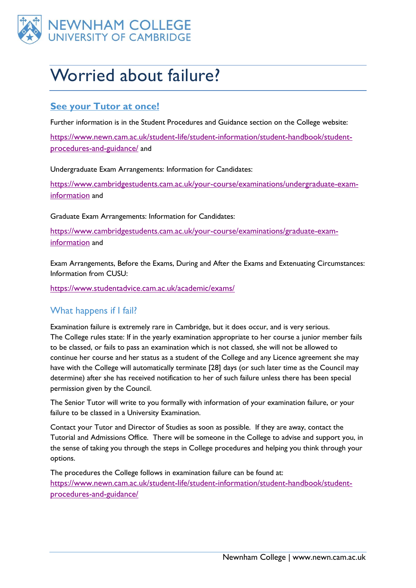

# Worried about failure?

## **See your Tutor at once!**

Further information is in the Student Procedures and Guidance section on the College website:

[https://www.newn.cam.ac.uk/student-life/student-information/student-handbook/student](https://www.newn.cam.ac.uk/student-life/student-information/student-handbook/student-procedures-and-guidance/)[procedures-and-guidance/](https://www.newn.cam.ac.uk/student-life/student-information/student-handbook/student-procedures-and-guidance/) and

Undergraduate Exam Arrangements: Information for Candidates:

[https://www.cambridgestudents.cam.ac.uk/your-course/examinations/undergraduate-exam](https://www.cambridgestudents.cam.ac.uk/your-course/examinations/undergraduate-exam-information)[information](https://www.cambridgestudents.cam.ac.uk/your-course/examinations/undergraduate-exam-information) and

Graduate Exam Arrangements: Information for Candidates:

[https://www.cambridgestudents.cam.ac.uk/your-course/examinations/graduate-exam](https://www.cambridgestudents.cam.ac.uk/your-course/examinations/graduate-exam-information)[information](https://www.cambridgestudents.cam.ac.uk/your-course/examinations/graduate-exam-information) and

Exam Arrangements, Before the Exams, During and After the Exams and Extenuating Circumstances: Information from CUSU:

<https://www.studentadvice.cam.ac.uk/academic/exams/>

#### What happens if I fail?

Examination failure is extremely rare in Cambridge, but it does occur, and is very serious. The College rules state: If in the yearly examination appropriate to her course a junior member fails to be classed, or fails to pass an examination which is not classed, she will not be allowed to continue her course and her status as a student of the College and any Licence agreement she may have with the College will automatically terminate [28] days (or such later time as the Council may determine) after she has received notification to her of such failure unless there has been special permission given by the Council.

The Senior Tutor will write to you formally with information of your examination failure, or your failure to be classed in a University Examination.

Contact your Tutor and Director of Studies as soon as possible. If they are away, contact the Tutorial and Admissions Office. There will be someone in the College to advise and support you, in the sense of taking you through the steps in College procedures and helping you think through your options.

The procedures the College follows in examination failure can be found at: [https://www.newn.cam.ac.uk/student-life/student-information/student-handbook/student](https://www.newn.cam.ac.uk/student-life/student-information/student-handbook/student-procedures-and-guidance/)[procedures-and-guidance/](https://www.newn.cam.ac.uk/student-life/student-information/student-handbook/student-procedures-and-guidance/)